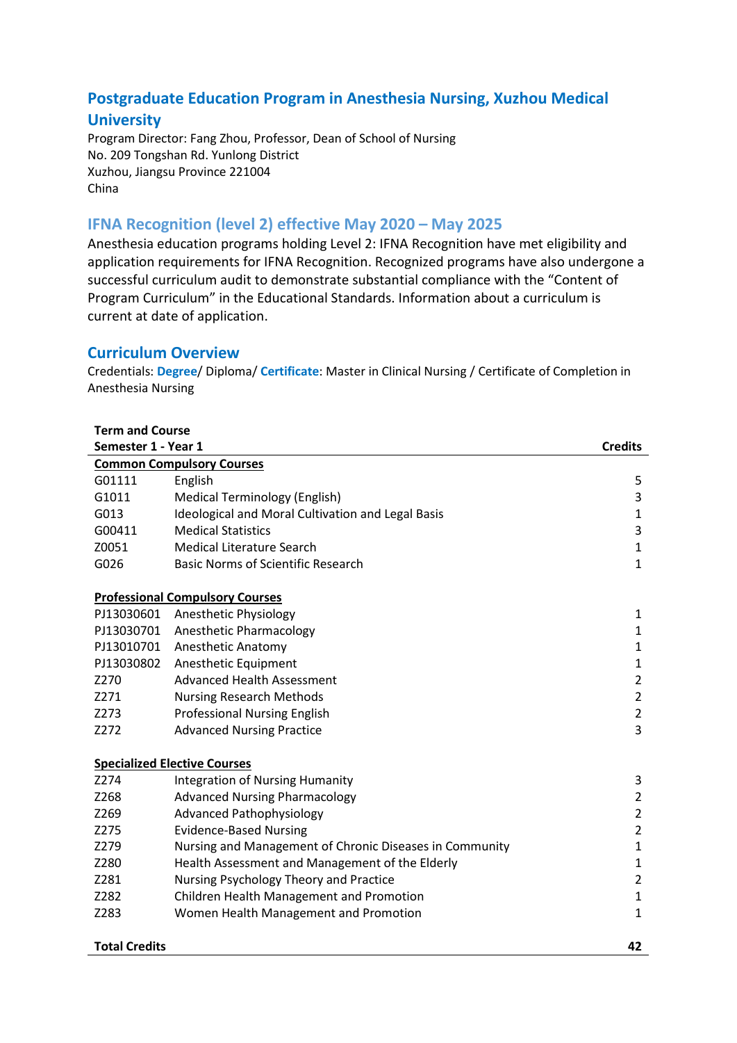# **Postgraduate Education Program in Anesthesia Nursing, Xuzhou Medical**

# **University**

Program Director: Fang Zhou, Professor, Dean of School of Nursing No. 209 Tongshan Rd. Yunlong District Xuzhou, Jiangsu Province 221004 China

## **IFNA Recognition (level 2) effective May 2020 – May 2025**

Anesthesia education programs holding Level 2: IFNA Recognition have met eligibility and application requirements for IFNA Recognition. Recognized programs have also undergone a successful curriculum audit to demonstrate substantial compliance with the "Content of Program Curriculum" in the Educational Standards. Information about a curriculum is current at date of application.

## **Curriculum Overview**

Credentials: **Degree**/ Diploma/ **Certificate**: Master in Clinical Nursing / Certificate of Completion in Anesthesia Nursing

| <b>Term and Course</b> |                                                         |                |
|------------------------|---------------------------------------------------------|----------------|
| Semester 1 - Year 1    |                                                         | <b>Credits</b> |
|                        | <b>Common Compulsory Courses</b>                        |                |
| G01111                 | English                                                 | 5              |
| G1011                  | <b>Medical Terminology (English)</b>                    | 3              |
| G013                   | Ideological and Moral Cultivation and Legal Basis       | $\mathbf 1$    |
| G00411                 | <b>Medical Statistics</b>                               | 3              |
| Z0051                  | <b>Medical Literature Search</b>                        | $\mathbf{1}$   |
| G026                   | <b>Basic Norms of Scientific Research</b>               | $\mathbf{1}$   |
|                        | <b>Professional Compulsory Courses</b>                  |                |
| PJ13030601             | Anesthetic Physiology                                   | 1              |
| PJ13030701             | Anesthetic Pharmacology                                 | $\mathbf{1}$   |
| PJ13010701             | <b>Anesthetic Anatomy</b>                               | $\mathbf{1}$   |
| PJ13030802             | Anesthetic Equipment                                    | $\mathbf 1$    |
| Z270                   | <b>Advanced Health Assessment</b>                       | $\overline{2}$ |
| Z271                   | <b>Nursing Research Methods</b>                         | $\overline{2}$ |
| Z273                   | <b>Professional Nursing English</b>                     | $\overline{2}$ |
| Z272                   | <b>Advanced Nursing Practice</b>                        | $\overline{3}$ |
|                        | <b>Specialized Elective Courses</b>                     |                |
| Z274                   | <b>Integration of Nursing Humanity</b>                  | 3              |
| Z268                   | <b>Advanced Nursing Pharmacology</b>                    | $\mathbf 2$    |
| Z269                   | <b>Advanced Pathophysiology</b>                         | $\mathbf 2$    |
| Z275                   | <b>Evidence-Based Nursing</b>                           | $\overline{2}$ |
| Z279                   | Nursing and Management of Chronic Diseases in Community | $\mathbf 1$    |
| Z280                   | Health Assessment and Management of the Elderly         | $\mathbf 1$    |
| Z281                   | Nursing Psychology Theory and Practice                  | $\overline{2}$ |
| Z282                   | Children Health Management and Promotion                | $\mathbf{1}$   |
| Z283                   | Women Health Management and Promotion                   | $\mathbf 1$    |
| <b>Total Credits</b>   |                                                         | 42             |